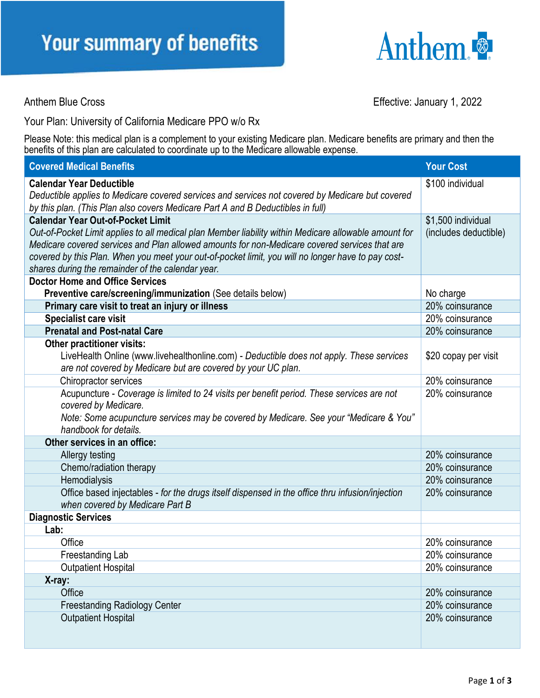

Anthem Blue Cross **Effective:** January 1, 2022

Your Plan: University of California Medicare PPO w/o Rx

Please Note: this medical plan is a complement to your existing Medicare plan. Medicare benefits are primary and then the benefits of this plan are calculated to coordinate up to the Medicare allowable expense.

| <b>Covered Medical Benefits</b>                                                                                                    | <b>Your Cost</b>      |
|------------------------------------------------------------------------------------------------------------------------------------|-----------------------|
| <b>Calendar Year Deductible</b>                                                                                                    | \$100 individual      |
| Deductible applies to Medicare covered services and services not covered by Medicare but covered                                   |                       |
| by this plan. (This Plan also covers Medicare Part A and B Deductibles in full)                                                    |                       |
| <b>Calendar Year Out-of-Pocket Limit</b>                                                                                           | \$1,500 individual    |
| Out-of-Pocket Limit applies to all medical plan Member liability within Medicare allowable amount for                              | (includes deductible) |
| Medicare covered services and Plan allowed amounts for non-Medicare covered services that are                                      |                       |
| covered by this Plan. When you meet your out-of-pocket limit, you will no longer have to pay cost-                                 |                       |
| shares during the remainder of the calendar year.                                                                                  |                       |
| <b>Doctor Home and Office Services</b>                                                                                             |                       |
| Preventive care/screening/immunization (See details below)                                                                         | No charge             |
| Primary care visit to treat an injury or illness                                                                                   | 20% coinsurance       |
| <b>Specialist care visit</b>                                                                                                       | 20% coinsurance       |
| <b>Prenatal and Post-natal Care</b>                                                                                                | 20% coinsurance       |
| Other practitioner visits:                                                                                                         |                       |
| LiveHealth Online (www.livehealthonline.com) - Deductible does not apply. These services                                           | \$20 copay per visit  |
| are not covered by Medicare but are covered by your UC plan.                                                                       |                       |
| Chiropractor services                                                                                                              | 20% coinsurance       |
| Acupuncture - Coverage is limited to 24 visits per benefit period. These services are not                                          | 20% coinsurance       |
| covered by Medicare.                                                                                                               |                       |
| Note: Some acupuncture services may be covered by Medicare. See your "Medicare & You"<br>handbook for details.                     |                       |
| Other services in an office:                                                                                                       |                       |
|                                                                                                                                    | 20% coinsurance       |
| Allergy testing                                                                                                                    | 20% coinsurance       |
| Chemo/radiation therapy<br>Hemodialysis                                                                                            | 20% coinsurance       |
|                                                                                                                                    | 20% coinsurance       |
| Office based injectables - for the drugs itself dispensed in the office thru infusion/injection<br>when covered by Medicare Part B |                       |
| <b>Diagnostic Services</b>                                                                                                         |                       |
| Lab:                                                                                                                               |                       |
| Office                                                                                                                             | 20% coinsurance       |
| Freestanding Lab                                                                                                                   | 20% coinsurance       |
| <b>Outpatient Hospital</b>                                                                                                         | 20% coinsurance       |
| X-ray:                                                                                                                             |                       |
| Office                                                                                                                             | 20% coinsurance       |
| <b>Freestanding Radiology Center</b>                                                                                               | 20% coinsurance       |
| <b>Outpatient Hospital</b>                                                                                                         | 20% coinsurance       |
|                                                                                                                                    |                       |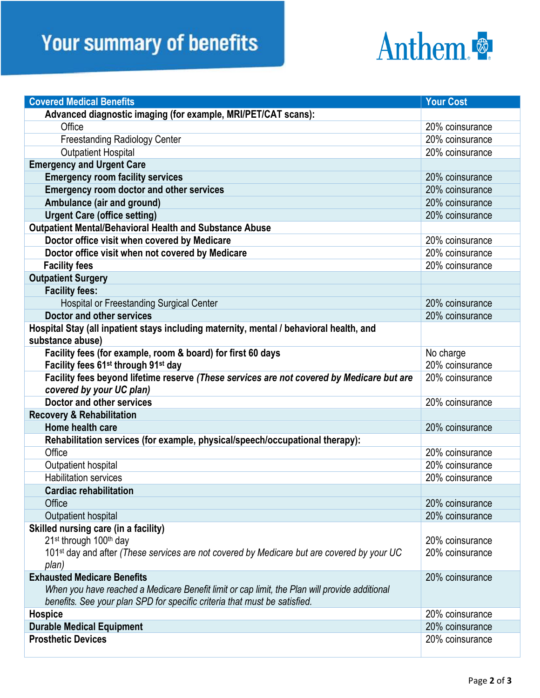## **Your summary of benefits**



| <b>Covered Medical Benefits</b>                                                                                       | <b>Your Cost</b> |
|-----------------------------------------------------------------------------------------------------------------------|------------------|
| Advanced diagnostic imaging (for example, MRI/PET/CAT scans):                                                         |                  |
| Office                                                                                                                | 20% coinsurance  |
| <b>Freestanding Radiology Center</b>                                                                                  | 20% coinsurance  |
| <b>Outpatient Hospital</b>                                                                                            | 20% coinsurance  |
| <b>Emergency and Urgent Care</b>                                                                                      |                  |
| <b>Emergency room facility services</b>                                                                               | 20% coinsurance  |
| <b>Emergency room doctor and other services</b>                                                                       | 20% coinsurance  |
| Ambulance (air and ground)                                                                                            | 20% coinsurance  |
| <b>Urgent Care (office setting)</b>                                                                                   | 20% coinsurance  |
| <b>Outpatient Mental/Behavioral Health and Substance Abuse</b>                                                        |                  |
| Doctor office visit when covered by Medicare                                                                          | 20% coinsurance  |
| Doctor office visit when not covered by Medicare                                                                      | 20% coinsurance  |
| <b>Facility fees</b>                                                                                                  | 20% coinsurance  |
| <b>Outpatient Surgery</b>                                                                                             |                  |
| <b>Facility fees:</b>                                                                                                 |                  |
| <b>Hospital or Freestanding Surgical Center</b>                                                                       | 20% coinsurance  |
| Doctor and other services                                                                                             | 20% coinsurance  |
| Hospital Stay (all inpatient stays including maternity, mental / behavioral health, and                               |                  |
| substance abuse)                                                                                                      |                  |
| Facility fees (for example, room & board) for first 60 days                                                           | No charge        |
| Facility fees 61 <sup>st</sup> through 91 <sup>st</sup> day                                                           | 20% coinsurance  |
| Facility fees beyond lifetime reserve (These services are not covered by Medicare but are<br>covered by your UC plan) | 20% coinsurance  |
| <b>Doctor and other services</b>                                                                                      | 20% coinsurance  |
| <b>Recovery &amp; Rehabilitation</b>                                                                                  |                  |
| Home health care                                                                                                      | 20% coinsurance  |
| Rehabilitation services (for example, physical/speech/occupational therapy):                                          |                  |
| Office                                                                                                                | 20% coinsurance  |
| Outpatient hospital                                                                                                   | 20% coinsurance  |
| <b>Habilitation services</b>                                                                                          | 20% coinsurance  |
| <b>Cardiac rehabilitation</b>                                                                                         |                  |
| Office                                                                                                                | 20% coinsurance  |
| Outpatient hospital                                                                                                   | 20% coinsurance  |
| Skilled nursing care (in a facility)                                                                                  |                  |
| 21 <sup>st</sup> through 100 <sup>th</sup> day                                                                        | 20% coinsurance  |
| 101 <sup>st</sup> day and after (These services are not covered by Medicare but are covered by your UC                | 20% coinsurance  |
| plan)                                                                                                                 |                  |
| <b>Exhausted Medicare Benefits</b>                                                                                    | 20% coinsurance  |
| When you have reached a Medicare Benefit limit or cap limit, the Plan will provide additional                         |                  |
| benefits. See your plan SPD for specific criteria that must be satisfied.                                             |                  |
| <b>Hospice</b>                                                                                                        | 20% coinsurance  |
| <b>Durable Medical Equipment</b>                                                                                      | 20% coinsurance  |
| <b>Prosthetic Devices</b>                                                                                             | 20% coinsurance  |